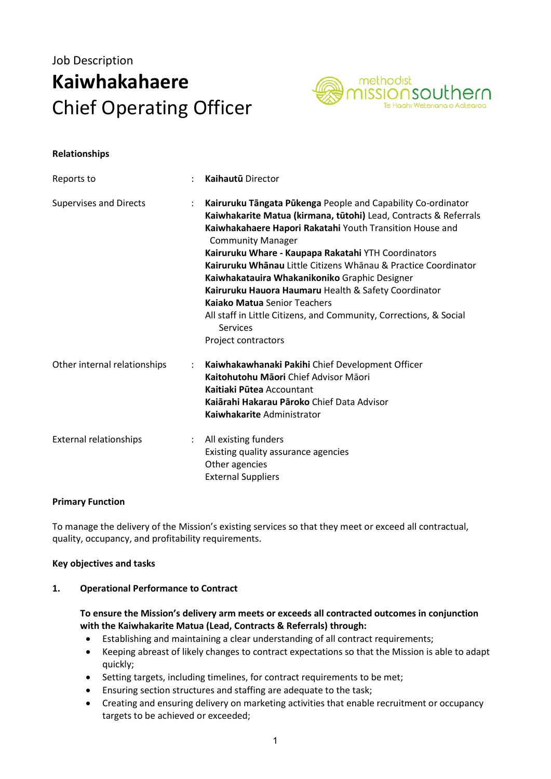# Job Description Kaiwhakahaere Chief Operating Officer



#### Relationships

| Reports to                    | $\ddot{\cdot}$       | <b>Kaihautū Director</b>                                                                                                                                                                                                                                                                                                                                                                                                                                                                                                                                                                                   |
|-------------------------------|----------------------|------------------------------------------------------------------------------------------------------------------------------------------------------------------------------------------------------------------------------------------------------------------------------------------------------------------------------------------------------------------------------------------------------------------------------------------------------------------------------------------------------------------------------------------------------------------------------------------------------------|
| <b>Supervises and Directs</b> | ÷                    | Kairuruku Tāngata Pūkenga People and Capability Co-ordinator<br>Kaiwhakarite Matua (kirmana, tūtohi) Lead, Contracts & Referrals<br>Kaiwhakahaere Hapori Rakatahi Youth Transition House and<br><b>Community Manager</b><br>Kairuruku Whare - Kaupapa Rakatahi YTH Coordinators<br>Kairuruku Whānau Little Citizens Whānau & Practice Coordinator<br>Kaiwhakatauira Whakanikoniko Graphic Designer<br>Kairuruku Hauora Haumaru Health & Safety Coordinator<br><b>Kajako Matua Senior Teachers</b><br>All staff in Little Citizens, and Community, Corrections, & Social<br>Services<br>Project contractors |
| Other internal relationships  | $\ddot{\phantom{a}}$ | Kaiwhakawhanaki Pakihi Chief Development Officer<br>Kaitohutohu Māori Chief Advisor Māori<br>Kaitiaki Pūtea Accountant<br>Kaiārahi Hakarau Pāroko Chief Data Advisor<br>Kaiwhakarite Administrator                                                                                                                                                                                                                                                                                                                                                                                                         |
| <b>External relationships</b> | ÷                    | All existing funders<br>Existing quality assurance agencies<br>Other agencies<br><b>External Suppliers</b>                                                                                                                                                                                                                                                                                                                                                                                                                                                                                                 |

#### Primary Function

To manage the delivery of the Mission's existing services so that they meet or exceed all contractual, quality, occupancy, and profitability requirements.

#### Key objectives and tasks

#### 1. Operational Performance to Contract

#### To ensure the Mission's delivery arm meets or exceeds all contracted outcomes in conjunction with the Kaiwhakarite Matua (Lead, Contracts & Referrals) through:

- Establishing and maintaining a clear understanding of all contract requirements;
- Keeping abreast of likely changes to contract expectations so that the Mission is able to adapt quickly;
- Setting targets, including timelines, for contract requirements to be met;
- Ensuring section structures and staffing are adequate to the task;
- Creating and ensuring delivery on marketing activities that enable recruitment or occupancy targets to be achieved or exceeded;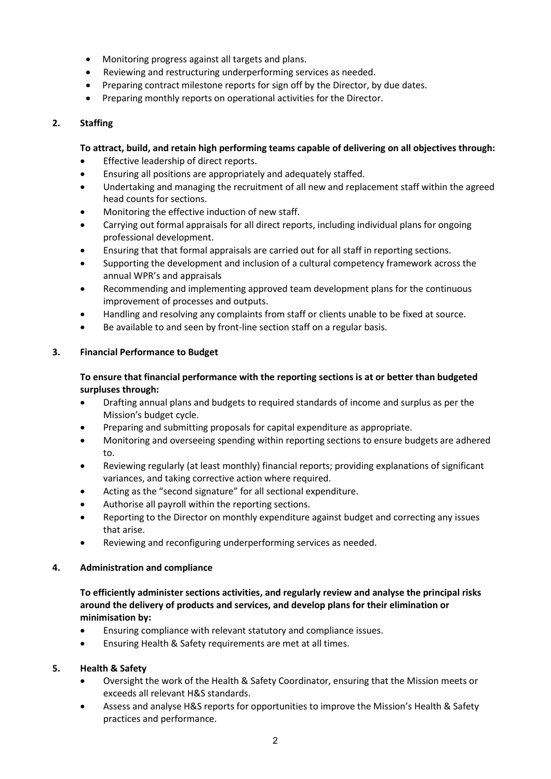- Monitoring progress against all targets and plans.
- Reviewing and restructuring underperforming services as needed.
- Preparing contract milestone reports for sign off by the Director, by due dates.
- Preparing monthly reports on operational activities for the Director.

## 2. Staffing

# To attract, build, and retain high performing teams capable of delivering on all objectives through:

- **•** Effective leadership of direct reports.
- Ensuring all positions are appropriately and adequately staffed.
- Undertaking and managing the recruitment of all new and replacement staff within the agreed head counts for sections.
- Monitoring the effective induction of new staff.
- Carrying out formal appraisals for all direct reports, including individual plans for ongoing professional development.
- Ensuring that that formal appraisals are carried out for all staff in reporting sections.
- Supporting the development and inclusion of a cultural competency framework across the annual WPR's and appraisals
- Recommending and implementing approved team development plans for the continuous improvement of processes and outputs.
- Handling and resolving any complaints from staff or clients unable to be fixed at source.
- Be available to and seen by front-line section staff on a regular basis.

## 3. Financial Performance to Budget

# To ensure that financial performance with the reporting sections is at or better than budgeted surpluses through:

- Drafting annual plans and budgets to required standards of income and surplus as per the Mission's budget cycle.
- Preparing and submitting proposals for capital expenditure as appropriate.
- Monitoring and overseeing spending within reporting sections to ensure budgets are adhered to.
- Reviewing regularly (at least monthly) financial reports; providing explanations of significant variances, and taking corrective action where required.
- Acting as the "second signature" for all sectional expenditure.
- Authorise all payroll within the reporting sections.
- Reporting to the Director on monthly expenditure against budget and correcting any issues that arise.
- Reviewing and reconfiguring underperforming services as needed.

## 4. Administration and compliance

To efficiently administer sections activities, and regularly review and analyse the principal risks around the delivery of products and services, and develop plans for their elimination or minimisation by:

- Ensuring compliance with relevant statutory and compliance issues.
- Ensuring Health & Safety requirements are met at all times.

## 5. Health & Safety

- Oversight the work of the Health & Safety Coordinator, ensuring that the Mission meets or exceeds all relevant H&S standards.
- Assess and analyse H&S reports for opportunities to improve the Mission's Health & Safety practices and performance.